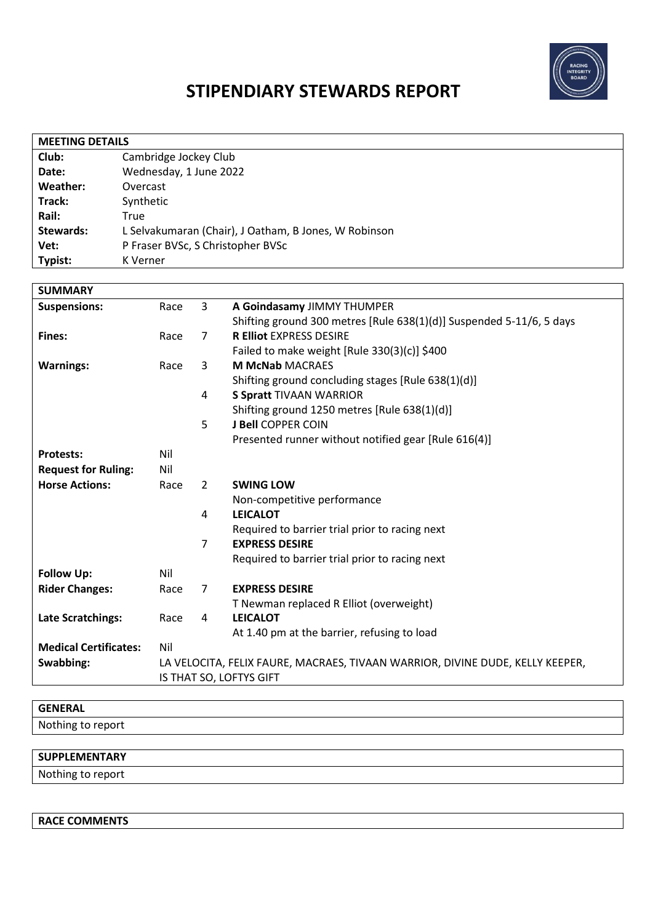

# **STIPENDIARY STEWARDS REPORT**

| <b>MEETING DETAILS</b> |                                                       |  |  |  |
|------------------------|-------------------------------------------------------|--|--|--|
| Club:                  | Cambridge Jockey Club                                 |  |  |  |
| Date:                  | Wednesday, 1 June 2022                                |  |  |  |
| Weather:               | Overcast                                              |  |  |  |
| Track:                 | Synthetic                                             |  |  |  |
| Rail:                  | True                                                  |  |  |  |
| <b>Stewards:</b>       | L Selvakumaran (Chair), J Oatham, B Jones, W Robinson |  |  |  |
| Vet:                   | P Fraser BVSc, S Christopher BVSc                     |  |  |  |
| Typist:                | K Verner                                              |  |  |  |

| <b>SUMMARY</b>                                          |                                                                               |                |                                                                      |
|---------------------------------------------------------|-------------------------------------------------------------------------------|----------------|----------------------------------------------------------------------|
| <b>Suspensions:</b>                                     | Race                                                                          | 3              | A Goindasamy JIMMY THUMPER                                           |
|                                                         |                                                                               |                | Shifting ground 300 metres [Rule 638(1)(d)] Suspended 5-11/6, 5 days |
| Fines:                                                  | Race                                                                          | $\overline{7}$ | <b>R Elliot EXPRESS DESIRE</b>                                       |
|                                                         |                                                                               |                | Failed to make weight [Rule $330(3)(c)$ ] \$400                      |
| <b>M McNab MACRAES</b><br><b>Warnings:</b><br>3<br>Race |                                                                               |                |                                                                      |
|                                                         |                                                                               |                | Shifting ground concluding stages [Rule 638(1)(d)]                   |
|                                                         |                                                                               | 4              | <b>S Spratt TIVAAN WARRIOR</b>                                       |
|                                                         |                                                                               |                | Shifting ground 1250 metres [Rule 638(1)(d)]                         |
|                                                         |                                                                               | 5              | <b>J Bell COPPER COIN</b>                                            |
|                                                         |                                                                               |                | Presented runner without notified gear [Rule 616(4)]                 |
| <b>Protests:</b>                                        | Nil                                                                           |                |                                                                      |
| <b>Request for Ruling:</b>                              | Nil                                                                           |                |                                                                      |
| <b>Horse Actions:</b>                                   | Race                                                                          | 2              | <b>SWING LOW</b>                                                     |
|                                                         |                                                                               |                | Non-competitive performance                                          |
|                                                         |                                                                               | 4              | <b>LEICALOT</b>                                                      |
|                                                         |                                                                               |                | Required to barrier trial prior to racing next                       |
|                                                         |                                                                               | 7              | <b>EXPRESS DESIRE</b>                                                |
|                                                         |                                                                               |                | Required to barrier trial prior to racing next                       |
| <b>Follow Up:</b>                                       | Nil                                                                           |                |                                                                      |
| <b>Rider Changes:</b>                                   | Race                                                                          | $\overline{7}$ | <b>EXPRESS DESIRE</b>                                                |
|                                                         |                                                                               |                | T Newman replaced R Elliot (overweight)                              |
| <b>Late Scratchings:</b>                                | Race                                                                          | 4              | <b>LEICALOT</b>                                                      |
|                                                         |                                                                               |                | At 1.40 pm at the barrier, refusing to load                          |
| <b>Medical Certificates:</b>                            | Nil                                                                           |                |                                                                      |
| Swabbing:                                               | LA VELOCITA, FELIX FAURE, MACRAES, TIVAAN WARRIOR, DIVINE DUDE, KELLY KEEPER, |                |                                                                      |
|                                                         | IS THAT SO, LOFTYS GIFT                                                       |                |                                                                      |

| <b>GENERAL</b>    |  |
|-------------------|--|
| Nothing to report |  |
|                   |  |

| <b>SUPPLEMENTARY</b> |  |
|----------------------|--|
| Nothing to report    |  |

**RACE COMMENTS**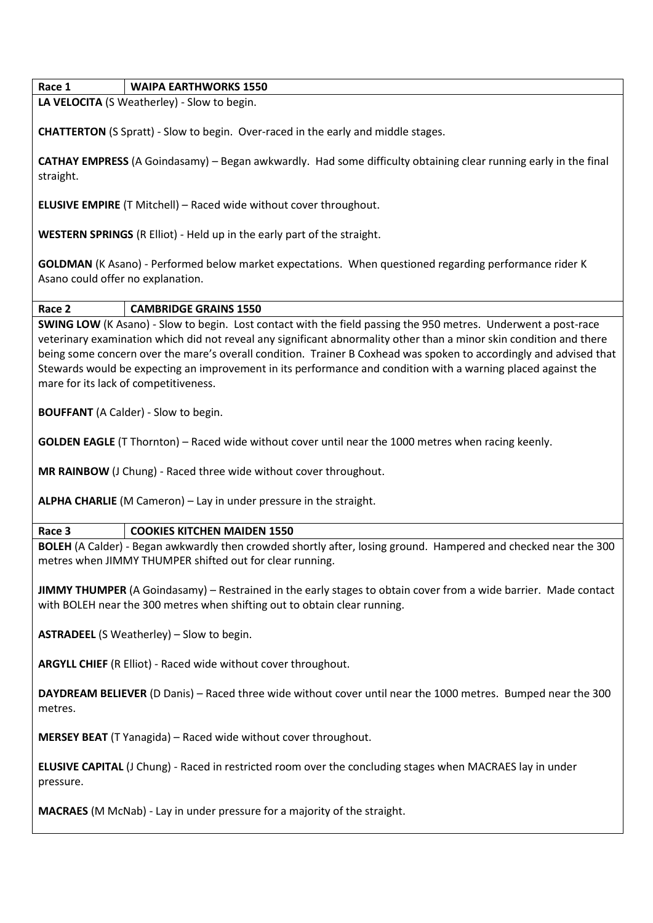**Race 1 WAIPA EARTHWORKS 1550**

**LA VELOCITA** (S Weatherley) - Slow to begin.

**CHATTERTON** (S Spratt) - Slow to begin. Over-raced in the early and middle stages.

**CATHAY EMPRESS** (A Goindasamy) – Began awkwardly. Had some difficulty obtaining clear running early in the final straight.

**ELUSIVE EMPIRE** (T Mitchell) – Raced wide without cover throughout.

**WESTERN SPRINGS** (R Elliot) - Held up in the early part of the straight.

**GOLDMAN** (K Asano) - Performed below market expectations. When questioned regarding performance rider K Asano could offer no explanation.

#### **Race 2 CAMBRIDGE GRAINS 1550**

**SWING LOW** (K Asano) - Slow to begin. Lost contact with the field passing the 950 metres. Underwent a post-race veterinary examination which did not reveal any significant abnormality other than a minor skin condition and there being some concern over the mare's overall condition. Trainer B Coxhead was spoken to accordingly and advised that Stewards would be expecting an improvement in its performance and condition with a warning placed against the mare for its lack of competitiveness.

**BOUFFANT** (A Calder) - Slow to begin.

**GOLDEN EAGLE** (T Thornton) – Raced wide without cover until near the 1000 metres when racing keenly.

**MR RAINBOW** (J Chung) - Raced three wide without cover throughout.

**ALPHA CHARLIE** (M Cameron) – Lay in under pressure in the straight.

## **Race 3 COOKIES KITCHEN MAIDEN 1550**

**BOLEH** (A Calder) - Began awkwardly then crowded shortly after, losing ground. Hampered and checked near the 300 metres when JIMMY THUMPER shifted out for clear running.

**JIMMY THUMPER** (A Goindasamy) – Restrained in the early stages to obtain cover from a wide barrier. Made contact with BOLEH near the 300 metres when shifting out to obtain clear running.

**ASTRADEEL** (S Weatherley) – Slow to begin.

**ARGYLL CHIEF** (R Elliot) - Raced wide without cover throughout.

**DAYDREAM BELIEVER** (D Danis) – Raced three wide without cover until near the 1000 metres. Bumped near the 300 metres.

**MERSEY BEAT** (T Yanagida) – Raced wide without cover throughout.

**ELUSIVE CAPITAL** (J Chung) - Raced in restricted room over the concluding stages when MACRAES lay in under pressure.

**MACRAES** (M McNab) - Lay in under pressure for a majority of the straight.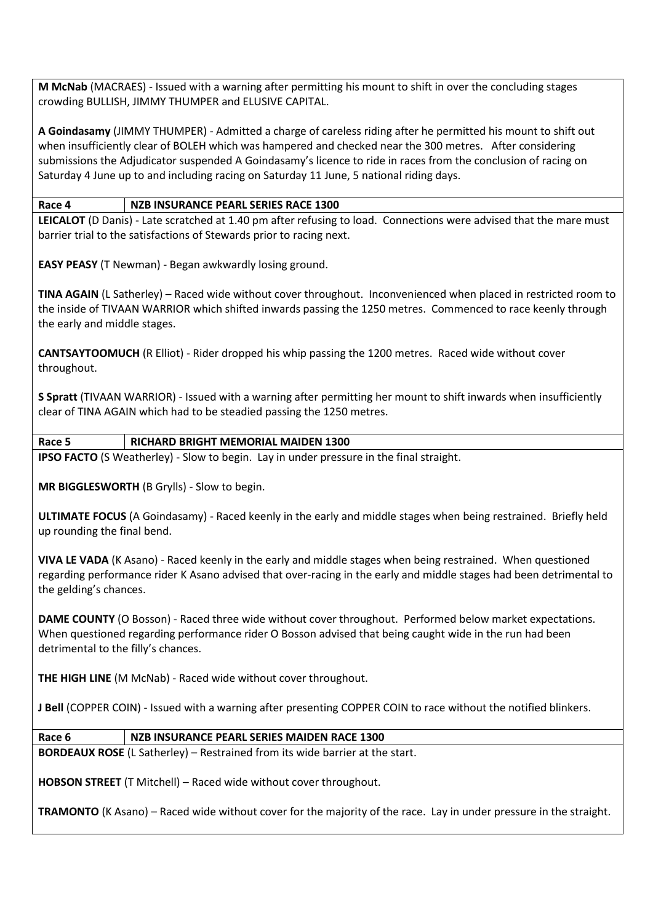**M McNab** (MACRAES) - Issued with a warning after permitting his mount to shift in over the concluding stages crowding BULLISH, JIMMY THUMPER and ELUSIVE CAPITAL.

**A Goindasamy** (JIMMY THUMPER) - Admitted a charge of careless riding after he permitted his mount to shift out when insufficiently clear of BOLEH which was hampered and checked near the 300 metres. After considering submissions the Adjudicator suspended A Goindasamy's licence to ride in races from the conclusion of racing on Saturday 4 June up to and including racing on Saturday 11 June, 5 national riding days.

## **Race 4 NZB INSURANCE PEARL SERIES RACE 1300**

**LEICALOT** (D Danis) - Late scratched at 1.40 pm after refusing to load. Connections were advised that the mare must barrier trial to the satisfactions of Stewards prior to racing next.

**EASY PEASY** (T Newman) - Began awkwardly losing ground.

**TINA AGAIN** (L Satherley) – Raced wide without cover throughout. Inconvenienced when placed in restricted room to the inside of TIVAAN WARRIOR which shifted inwards passing the 1250 metres. Commenced to race keenly through the early and middle stages.

**CANTSAYTOOMUCH** (R Elliot) - Rider dropped his whip passing the 1200 metres. Raced wide without cover throughout.

**S Spratt** (TIVAAN WARRIOR) - Issued with a warning after permitting her mount to shift inwards when insufficiently clear of TINA AGAIN which had to be steadied passing the 1250 metres.

## **Race 5 RICHARD BRIGHT MEMORIAL MAIDEN 1300**

**IPSO FACTO** (S Weatherley) - Slow to begin. Lay in under pressure in the final straight.

**MR BIGGLESWORTH** (B Grylls) - Slow to begin.

**ULTIMATE FOCUS** (A Goindasamy) - Raced keenly in the early and middle stages when being restrained. Briefly held up rounding the final bend.

**VIVA LE VADA** (K Asano) - Raced keenly in the early and middle stages when being restrained. When questioned regarding performance rider K Asano advised that over-racing in the early and middle stages had been detrimental to the gelding's chances.

**DAME COUNTY** (O Bosson) - Raced three wide without cover throughout. Performed below market expectations. When questioned regarding performance rider O Bosson advised that being caught wide in the run had been detrimental to the filly's chances.

**THE HIGH LINE** (M McNab) - Raced wide without cover throughout.

**J Bell** (COPPER COIN) - Issued with a warning after presenting COPPER COIN to race without the notified blinkers.

## **Race 6 NZB INSURANCE PEARL SERIES MAIDEN RACE 1300**

**BORDEAUX ROSE** (L Satherley) – Restrained from its wide barrier at the start.

**HOBSON STREET** (T Mitchell) – Raced wide without cover throughout.

**TRAMONTO** (K Asano) – Raced wide without cover for the majority of the race. Lay in under pressure in the straight.